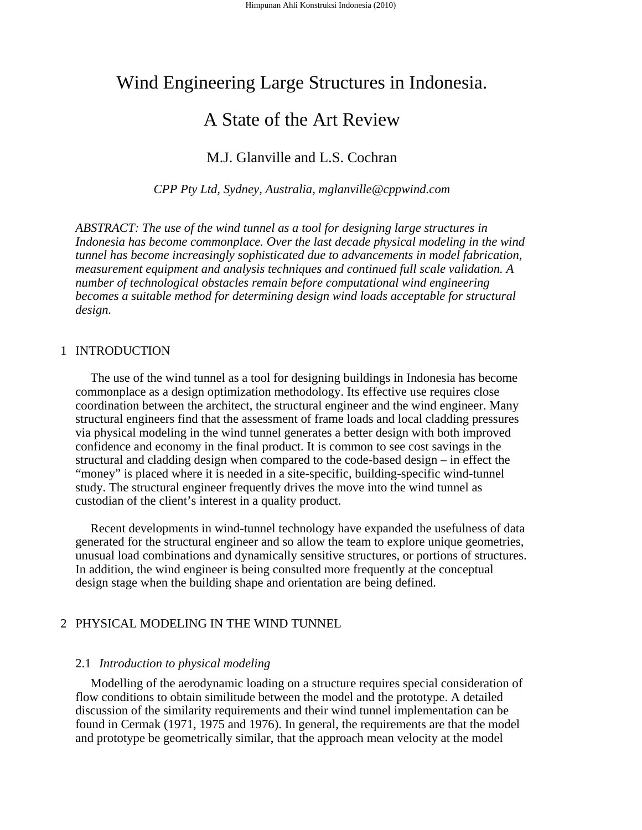# Wind Engineering Large Structures in Indonesia.

## A State of the Art Review

M.J. Glanville and L.S. Cochran

*CPP Pty Ltd, Sydney, Australia, mglanville@cppwind.com* 

*ABSTRACT: The use of the wind tunnel as a tool for designing large structures in Indonesia has become commonplace. Over the last decade physical modeling in the wind tunnel has become increasingly sophisticated due to advancements in model fabrication, measurement equipment and analysis techniques and continued full scale validation. A number of technological obstacles remain before computational wind engineering becomes a suitable method for determining design wind loads acceptable for structural design.* 

## 1 INTRODUCTION

The use of the wind tunnel as a tool for designing buildings in Indonesia has become commonplace as a design optimization methodology. Its effective use requires close coordination between the architect, the structural engineer and the wind engineer. Many structural engineers find that the assessment of frame loads and local cladding pressures via physical modeling in the wind tunnel generates a better design with both improved confidence and economy in the final product. It is common to see cost savings in the structural and cladding design when compared to the code-based design – in effect the "money" is placed where it is needed in a site-specific, building-specific wind-tunnel study. The structural engineer frequently drives the move into the wind tunnel as custodian of the client's interest in a quality product.

Recent developments in wind-tunnel technology have expanded the usefulness of data generated for the structural engineer and so allow the team to explore unique geometries, unusual load combinations and dynamically sensitive structures, or portions of structures. In addition, the wind engineer is being consulted more frequently at the conceptual design stage when the building shape and orientation are being defined.

## 2 PHYSICAL MODELING IN THE WIND TUNNEL

## 2.1 *Introduction to physical modeling*

Modelling of the aerodynamic loading on a structure requires special consideration of flow conditions to obtain similitude between the model and the prototype. A detailed discussion of the similarity requirements and their wind tunnel implementation can be found in Cermak (1971, 1975 and 1976). In general, the requirements are that the model and prototype be geometrically similar, that the approach mean velocity at the model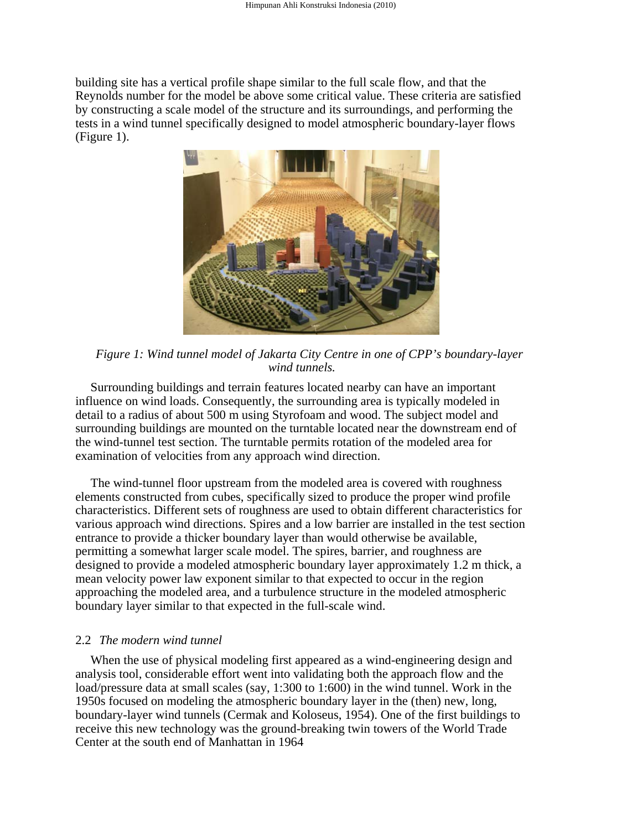building site has a vertical profile shape similar to the full scale flow, and that the Reynolds number for the model be above some critical value. These criteria are satisfied by constructing a scale model of the structure and its surroundings, and performing the tests in a wind tunnel specifically designed to model atmospheric boundary-layer flows (Figure 1).



*Figure 1: Wind tunnel model of Jakarta City Centre in one of CPP's boundary-layer wind tunnels.* 

Surrounding buildings and terrain features located nearby can have an important influence on wind loads. Consequently, the surrounding area is typically modeled in detail to a radius of about 500 m using Styrofoam and wood. The subject model and surrounding buildings are mounted on the turntable located near the downstream end of the wind-tunnel test section. The turntable permits rotation of the modeled area for examination of velocities from any approach wind direction.

The wind-tunnel floor upstream from the modeled area is covered with roughness elements constructed from cubes, specifically sized to produce the proper wind profile characteristics. Different sets of roughness are used to obtain different characteristics for various approach wind directions. Spires and a low barrier are installed in the test section entrance to provide a thicker boundary layer than would otherwise be available, permitting a somewhat larger scale model. The spires, barrier, and roughness are designed to provide a modeled atmospheric boundary layer approximately 1.2 m thick, a mean velocity power law exponent similar to that expected to occur in the region approaching the modeled area, and a turbulence structure in the modeled atmospheric boundary layer similar to that expected in the full-scale wind.

#### 2.2 *The modern wind tunnel*

When the use of physical modeling first appeared as a wind-engineering design and analysis tool, considerable effort went into validating both the approach flow and the load/pressure data at small scales (say, 1:300 to 1:600) in the wind tunnel. Work in the 1950s focused on modeling the atmospheric boundary layer in the (then) new, long, boundary-layer wind tunnels (Cermak and Koloseus, 1954). One of the first buildings to receive this new technology was the ground-breaking twin towers of the World Trade Center at the south end of Manhattan in 1964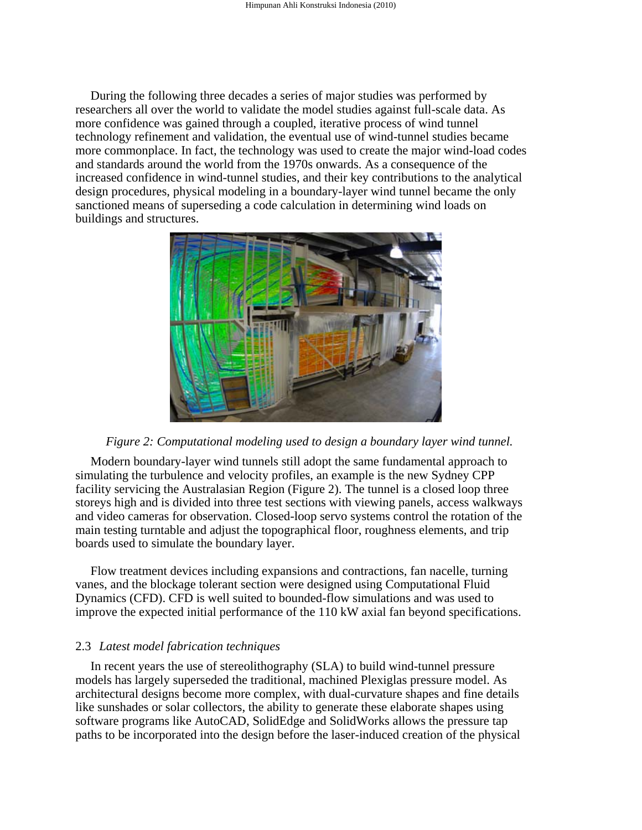During the following three decades a series of major studies was performed by researchers all over the world to validate the model studies against full-scale data. As more confidence was gained through a coupled, iterative process of wind tunnel technology refinement and validation, the eventual use of wind-tunnel studies became more commonplace. In fact, the technology was used to create the major wind-load codes and standards around the world from the 1970s onwards. As a consequence of the increased confidence in wind-tunnel studies, and their key contributions to the analytical design procedures, physical modeling in a boundary-layer wind tunnel became the only sanctioned means of superseding a code calculation in determining wind loads on buildings and structures.



*Figure 2: Computational modeling used to design a boundary layer wind tunnel.* 

Modern boundary-layer wind tunnels still adopt the same fundamental approach to simulating the turbulence and velocity profiles, an example is the new Sydney CPP facility servicing the Australasian Region (Figure 2). The tunnel is a closed loop three storeys high and is divided into three test sections with viewing panels, access walkways and video cameras for observation. Closed-loop servo systems control the rotation of the main testing turntable and adjust the topographical floor, roughness elements, and trip boards used to simulate the boundary layer.

Flow treatment devices including expansions and contractions, fan nacelle, turning vanes, and the blockage tolerant section were designed using Computational Fluid Dynamics (CFD). CFD is well suited to bounded-flow simulations and was used to improve the expected initial performance of the 110 kW axial fan beyond specifications.

## 2.3 *Latest model fabrication techniques*

In recent years the use of stereolithography (SLA) to build wind-tunnel pressure models has largely superseded the traditional, machined Plexiglas pressure model. As architectural designs become more complex, with dual-curvature shapes and fine details like sunshades or solar collectors, the ability to generate these elaborate shapes using software programs like AutoCAD, SolidEdge and SolidWorks allows the pressure tap paths to be incorporated into the design before the laser-induced creation of the physical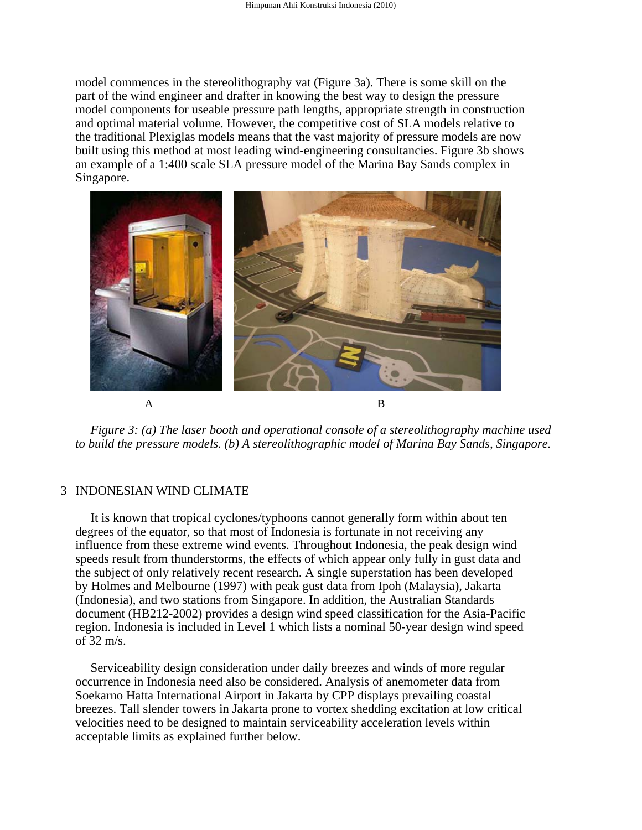model commences in the stereolithography vat (Figure 3a). There is some skill on the part of the wind engineer and drafter in knowing the best way to design the pressure model components for useable pressure path lengths, appropriate strength in construction and optimal material volume. However, the competitive cost of SLA models relative to the traditional Plexiglas models means that the vast majority of pressure models are now built using this method at most leading wind-engineering consultancies. Figure 3b shows an example of a 1:400 scale SLA pressure model of the Marina Bay Sands complex in Singapore.



*Figure 3: (a) The laser booth and operational console of a stereolithography machine used to build the pressure models. (b) A stereolithographic model of Marina Bay Sands, Singapore.* 

## 3 INDONESIAN WIND CLIMATE

It is known that tropical cyclones/typhoons cannot generally form within about ten degrees of the equator, so that most of Indonesia is fortunate in not receiving any influence from these extreme wind events. Throughout Indonesia, the peak design wind speeds result from thunderstorms, the effects of which appear only fully in gust data and the subject of only relatively recent research. A single superstation has been developed by Holmes and Melbourne (1997) with peak gust data from Ipoh (Malaysia), Jakarta (Indonesia), and two stations from Singapore. In addition, the Australian Standards document (HB212-2002) provides a design wind speed classification for the Asia-Pacific region. Indonesia is included in Level 1 which lists a nominal 50-year design wind speed of 32 m/s.

Serviceability design consideration under daily breezes and winds of more regular occurrence in Indonesia need also be considered. Analysis of anemometer data from Soekarno Hatta International Airport in Jakarta by CPP displays prevailing coastal breezes. Tall slender towers in Jakarta prone to vortex shedding excitation at low critical velocities need to be designed to maintain serviceability acceleration levels within acceptable limits as explained further below.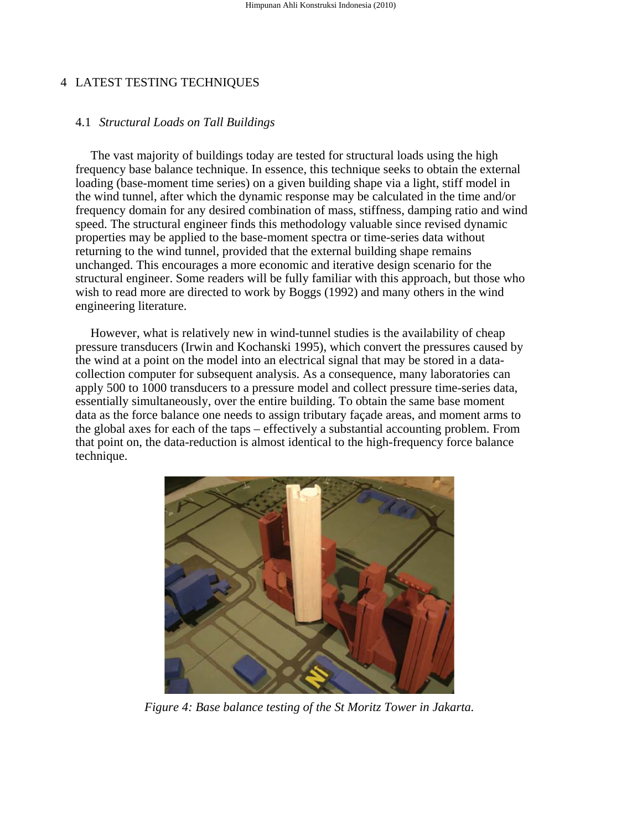## 4 LATEST TESTING TECHNIQUES

## 4.1 *Structural Loads on Tall Buildings*

The vast majority of buildings today are tested for structural loads using the high frequency base balance technique. In essence, this technique seeks to obtain the external loading (base-moment time series) on a given building shape via a light, stiff model in the wind tunnel, after which the dynamic response may be calculated in the time and/or frequency domain for any desired combination of mass, stiffness, damping ratio and wind speed. The structural engineer finds this methodology valuable since revised dynamic properties may be applied to the base-moment spectra or time-series data without returning to the wind tunnel, provided that the external building shape remains unchanged. This encourages a more economic and iterative design scenario for the structural engineer. Some readers will be fully familiar with this approach, but those who wish to read more are directed to work by Boggs (1992) and many others in the wind engineering literature.

However, what is relatively new in wind-tunnel studies is the availability of cheap pressure transducers (Irwin and Kochanski 1995), which convert the pressures caused by the wind at a point on the model into an electrical signal that may be stored in a datacollection computer for subsequent analysis. As a consequence, many laboratories can apply 500 to 1000 transducers to a pressure model and collect pressure time-series data, essentially simultaneously, over the entire building. To obtain the same base moment data as the force balance one needs to assign tributary façade areas, and moment arms to the global axes for each of the taps – effectively a substantial accounting problem. From that point on, the data-reduction is almost identical to the high-frequency force balance technique.



*Figure 4: Base balance testing of the St Moritz Tower in Jakarta.*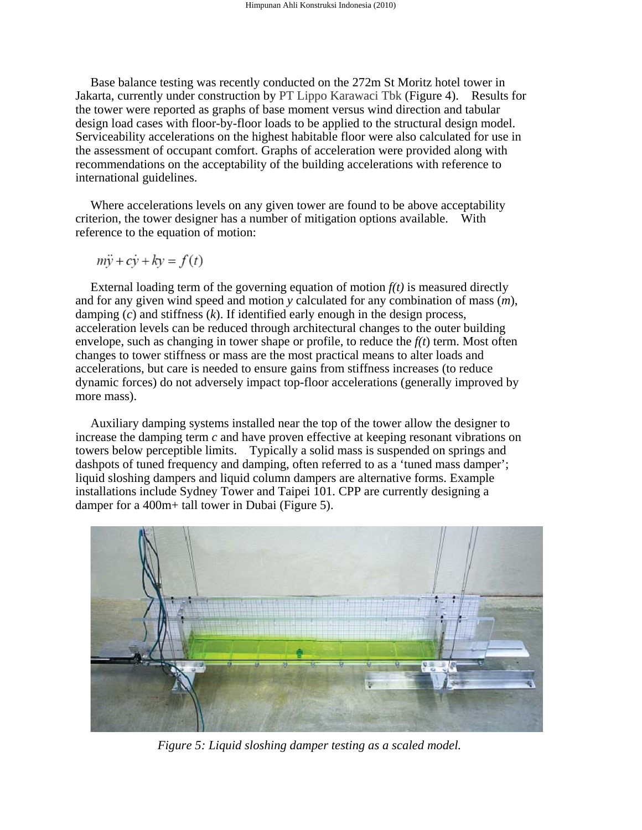Base balance testing was recently conducted on the 272m St Moritz hotel tower in Jakarta, currently under construction by PT Lippo Karawaci Tbk (Figure 4). Results for the tower were reported as graphs of base moment versus wind direction and tabular design load cases with floor-by-floor loads to be applied to the structural design model. Serviceability accelerations on the highest habitable floor were also calculated for use in the assessment of occupant comfort. Graphs of acceleration were provided along with recommendations on the acceptability of the building accelerations with reference to international guidelines.

Where accelerations levels on any given tower are found to be above acceptability criterion, the tower designer has a number of mitigation options available. With reference to the equation of motion:

$$
m\ddot{y} + c\dot{y} + k\dot{y} = f(t)
$$

External loading term of the governing equation of motion  $f(t)$  is measured directly and for any given wind speed and motion *y* calculated for any combination of mass (*m*), damping (*c*) and stiffness (*k*). If identified early enough in the design process, acceleration levels can be reduced through architectural changes to the outer building envelope, such as changing in tower shape or profile, to reduce the *f(t*) term. Most often changes to tower stiffness or mass are the most practical means to alter loads and accelerations, but care is needed to ensure gains from stiffness increases (to reduce dynamic forces) do not adversely impact top-floor accelerations (generally improved by more mass).

Auxiliary damping systems installed near the top of the tower allow the designer to increase the damping term *c* and have proven effective at keeping resonant vibrations on towers below perceptible limits. Typically a solid mass is suspended on springs and dashpots of tuned frequency and damping, often referred to as a 'tuned mass damper'; liquid sloshing dampers and liquid column dampers are alternative forms. Example installations include Sydney Tower and Taipei 101. CPP are currently designing a damper for a 400m+ tall tower in Dubai (Figure 5).



*Figure 5: Liquid sloshing damper testing as a scaled model.*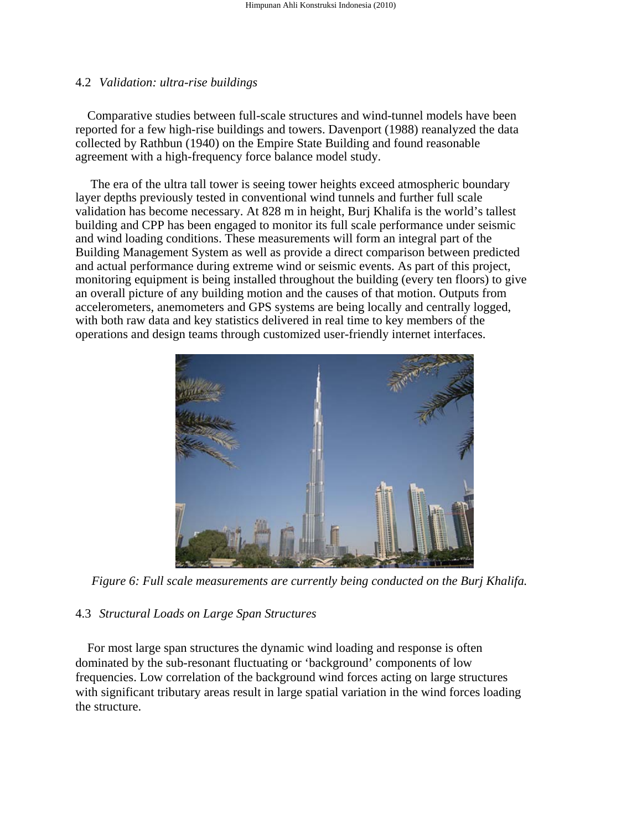#### 4.2 *Validation: ultra-rise buildings*

Comparative studies between full-scale structures and wind-tunnel models have been reported for a few high-rise buildings and towers. Davenport (1988) reanalyzed the data collected by Rathbun (1940) on the Empire State Building and found reasonable agreement with a high-frequency force balance model study.

The era of the ultra tall tower is seeing tower heights exceed atmospheric boundary layer depths previously tested in conventional wind tunnels and further full scale validation has become necessary. At 828 m in height, Burj Khalifa is the world's tallest building and CPP has been engaged to monitor its full scale performance under seismic and wind loading conditions. These measurements will form an integral part of the Building Management System as well as provide a direct comparison between predicted and actual performance during extreme wind or seismic events. As part of this project, monitoring equipment is being installed throughout the building (every ten floors) to give an overall picture of any building motion and the causes of that motion. Outputs from accelerometers, anemometers and GPS systems are being locally and centrally logged, with both raw data and key statistics delivered in real time to key members of the operations and design teams through customized user-friendly internet interfaces.



*Figure 6: Full scale measurements are currently being conducted on the Burj Khalifa.* 

## 4.3 *Structural Loads on Large Span Structures*

For most large span structures the dynamic wind loading and response is often dominated by the sub-resonant fluctuating or 'background' components of low frequencies. Low correlation of the background wind forces acting on large structures with significant tributary areas result in large spatial variation in the wind forces loading the structure.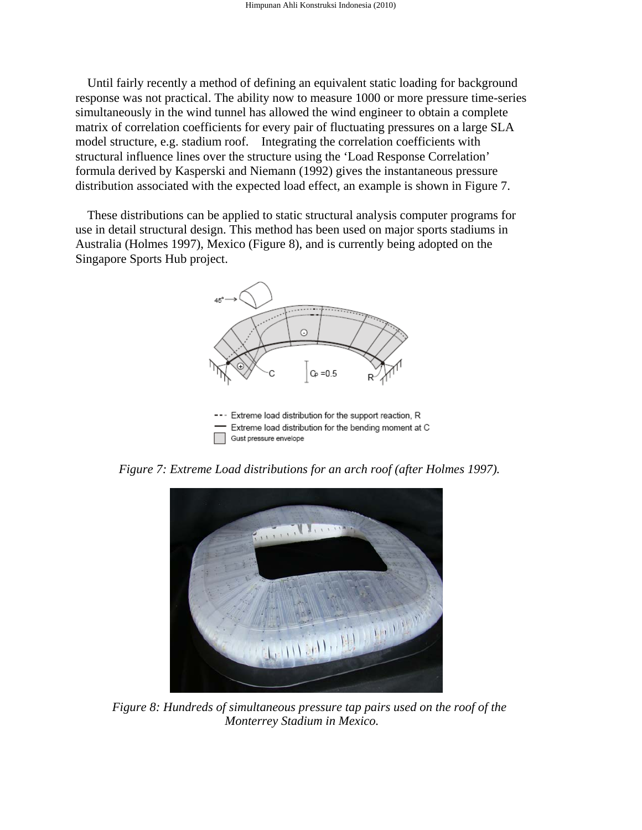Until fairly recently a method of defining an equivalent static loading for background response was not practical. The ability now to measure 1000 or more pressure time-series simultaneously in the wind tunnel has allowed the wind engineer to obtain a complete matrix of correlation coefficients for every pair of fluctuating pressures on a large SLA model structure, e.g. stadium roof. Integrating the correlation coefficients with structural influence lines over the structure using the 'Load Response Correlation' formula derived by Kasperski and Niemann (1992) gives the instantaneous pressure distribution associated with the expected load effect, an example is shown in Figure 7.

These distributions can be applied to static structural analysis computer programs for use in detail structural design. This method has been used on major sports stadiums in Australia (Holmes 1997), Mexico (Figure 8), and is currently being adopted on the Singapore Sports Hub project.



*Figure 7: Extreme Load distributions for an arch roof (after Holmes 1997).* 



*Figure 8: Hundreds of simultaneous pressure tap pairs used on the roof of the Monterrey Stadium in Mexico.*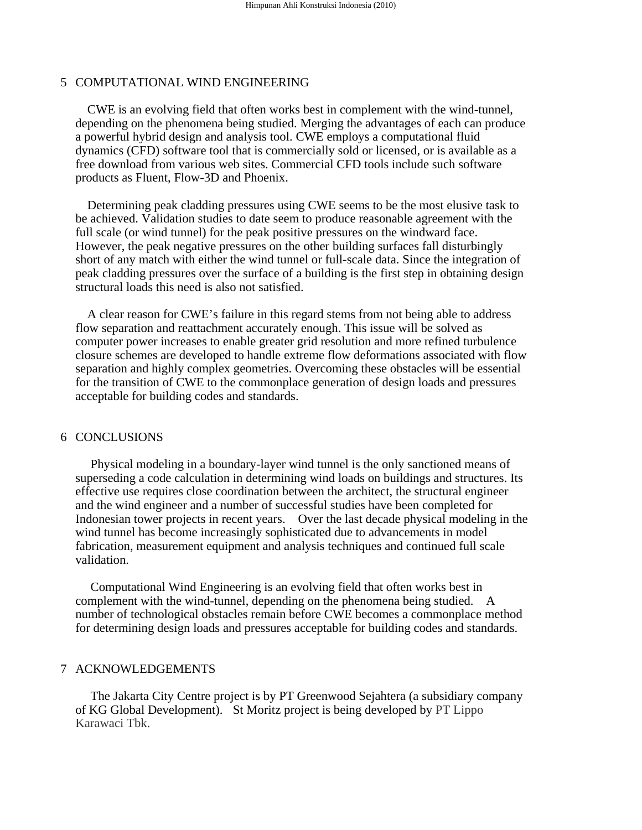## 5 COMPUTATIONAL WIND ENGINEERING

CWE is an evolving field that often works best in complement with the wind-tunnel, depending on the phenomena being studied. Merging the advantages of each can produce a powerful hybrid design and analysis tool. CWE employs a computational fluid dynamics (CFD) software tool that is commercially sold or licensed, or is available as a free download from various web sites. Commercial CFD tools include such software products as Fluent, Flow-3D and Phoenix.

Determining peak cladding pressures using CWE seems to be the most elusive task to be achieved. Validation studies to date seem to produce reasonable agreement with the full scale (or wind tunnel) for the peak positive pressures on the windward face. However, the peak negative pressures on the other building surfaces fall disturbingly short of any match with either the wind tunnel or full-scale data. Since the integration of peak cladding pressures over the surface of a building is the first step in obtaining design structural loads this need is also not satisfied.

A clear reason for CWE's failure in this regard stems from not being able to address flow separation and reattachment accurately enough. This issue will be solved as computer power increases to enable greater grid resolution and more refined turbulence closure schemes are developed to handle extreme flow deformations associated with flow separation and highly complex geometries. Overcoming these obstacles will be essential for the transition of CWE to the commonplace generation of design loads and pressures acceptable for building codes and standards.

#### 6 CONCLUSIONS

Physical modeling in a boundary-layer wind tunnel is the only sanctioned means of superseding a code calculation in determining wind loads on buildings and structures. Its effective use requires close coordination between the architect, the structural engineer and the wind engineer and a number of successful studies have been completed for Indonesian tower projects in recent years. Over the last decade physical modeling in the wind tunnel has become increasingly sophisticated due to advancements in model fabrication, measurement equipment and analysis techniques and continued full scale validation.

Computational Wind Engineering is an evolving field that often works best in complement with the wind-tunnel, depending on the phenomena being studied. A number of technological obstacles remain before CWE becomes a commonplace method for determining design loads and pressures acceptable for building codes and standards.

## 7 ACKNOWLEDGEMENTS

The Jakarta City Centre project is by PT Greenwood Sejahtera (a subsidiary company of KG Global Development). St Moritz project is being developed by PT Lippo Karawaci Tbk.